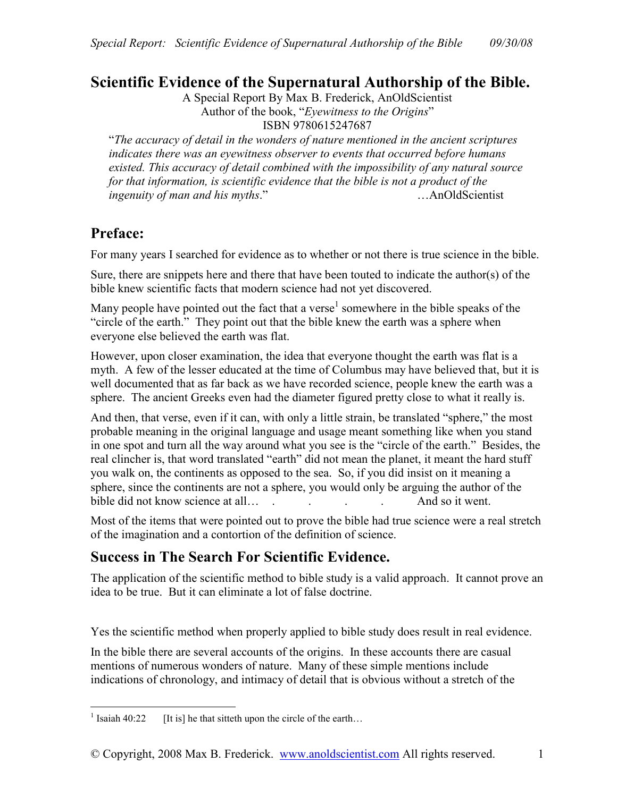# **Scientific Evidence of the Supernatural Authorship of the Bible.**

A Special Report By Max B. Frederick, AnOldScientist Author of the book, "*Eyewitness to the Origins*"

ISBN 9780615247687

"*The accuracy of detail in the wonders of nature mentioned in the ancient scriptures indicates there was an eyewitness observer to events that occurred before humans existed. This accuracy of detail combined with the impossibility of any natural source for that information, is scientific evidence that the bible is not a product of the ingenuity of man and his myths*." …AnOldScientist

# **Preface:**

For many years I searched for evidence as to whether or not there is true science in the bible.

Sure, there are snippets here and there that have been touted to indicate the author(s) of the bible knew scientific facts that modern science had not yet discovered.

Many people have pointed out the fact that a verse<sup>1</sup> somewhere in the bible speaks of the "circle of the earth." They point out that the bible knew the earth was a sphere when everyone else believed the earth was flat.

However, upon closer examination, the idea that everyone thought the earth was flat is a myth. A few of the lesser educated at the time of Columbus may have believed that, but it is well documented that as far back as we have recorded science, people knew the earth was a sphere. The ancient Greeks even had the diameter figured pretty close to what it really is.

And then, that verse, even if it can, with only a little strain, be translated "sphere," the most probable meaning in the original language and usage meant something like when you stand in one spot and turn all the way around what you see is the "circle of the earth." Besides, the real clincher is, that word translated "earth" did not mean the planet, it meant the hard stuff you walk on, the continents as opposed to the sea. So, if you did insist on it meaning a sphere, since the continents are not a sphere, you would only be arguing the author of the bible did not know science at all… . . . . . . . . . . . . . . And so it went.

Most of the items that were pointed out to prove the bible had true science were a real stretch of the imagination and a contortion of the definition of science.

# **Success in The Search For Scientific Evidence.**

The application of the scientific method to bible study is a valid approach. It cannot prove an idea to be true. But it can eliminate a lot of false doctrine.

Yes the scientific method when properly applied to bible study does result in real evidence.

In the bible there are several accounts of the origins. In these accounts there are casual mentions of numerous wonders of nature. Many of these simple mentions include indications of chronology, and intimacy of detail that is obvious without a stretch of the

<sup>&</sup>lt;u>.</u>  $<sup>1</sup>$  Isaiah 40:22</sup> [It is] he that sitteth upon the circle of the earth...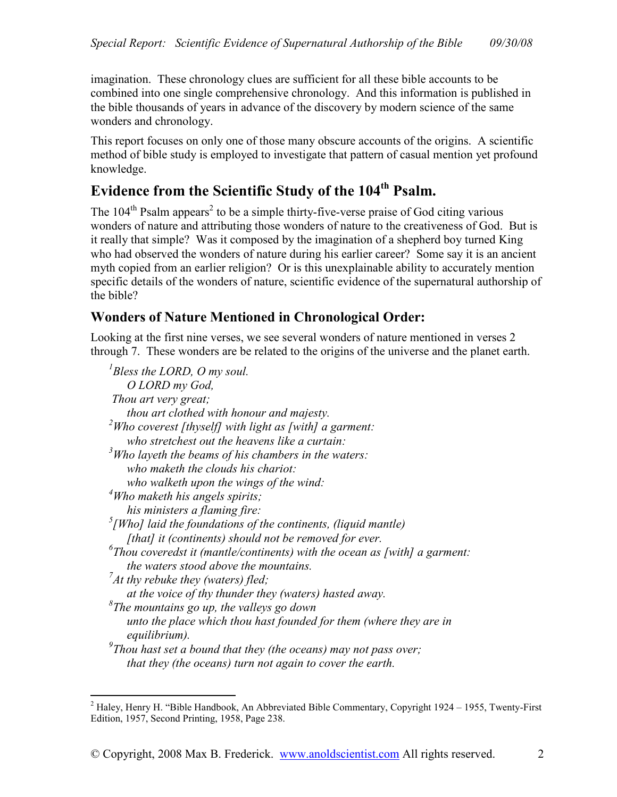imagination. These chronology clues are sufficient for all these bible accounts to be combined into one single comprehensive chronology. And this information is published in the bible thousands of years in advance of the discovery by modern science of the same wonders and chronology.

This report focuses on only one of those many obscure accounts of the origins. A scientific method of bible study is employed to investigate that pattern of casual mention yet profound knowledge.

# **Evidence from the Scientific Study of the 104th Psalm.**

The  $104<sup>th</sup>$  Psalm appears<sup>2</sup> to be a simple thirty-five-verse praise of God citing various wonders of nature and attributing those wonders of nature to the creativeness of God. But is it really that simple? Was it composed by the imagination of a shepherd boy turned King who had observed the wonders of nature during his earlier career? Some say it is an ancient myth copied from an earlier religion? Or is this unexplainable ability to accurately mention specific details of the wonders of nature, scientific evidence of the supernatural authorship of the bible?

# **Wonders of Nature Mentioned in Chronological Order:**

Looking at the first nine verses, we see several wonders of nature mentioned in verses 2 through 7. These wonders are be related to the origins of the universe and the planet earth.

| $B$ less the LORD, O my soul.                                                         |
|---------------------------------------------------------------------------------------|
| O LORD my God,                                                                        |
| Thou art very great;                                                                  |
| thou art clothed with honour and majesty.                                             |
| $2^2$ Who coverest [thyself] with light as [with] a garment:                          |
| who stretchest out the heavens like a curtain:                                        |
| $3$ Who layeth the beams of his chambers in the waters:                               |
| who maketh the clouds his chariot:                                                    |
| who walketh upon the wings of the wind:                                               |
| $4$ Who maketh his angels spirits;                                                    |
| his ministers a flaming fire:                                                         |
| $\frac{5}{1}$ [Who] laid the foundations of the continents, (liquid mantle)           |
| [that] it (continents) should not be removed for ever.                                |
| ${}^6$ Thou coveredst it (mantle/continents) with the ocean as [with] a garment:      |
| the waters stood above the mountains.                                                 |
| $\int$ At thy rebuke they (waters) fled;                                              |
| at the voice of thy thunder they (waters) hasted away.                                |
| ${}^8$ The mountains go up, the valleys go down                                       |
| unto the place which thou hast founded for them (where they are in                    |
| equilibrium).                                                                         |
| $\sigma$ <sup>9</sup> Thou hast set a bound that they (the oceans) may not pass over; |
| that they (the oceans) turn not again to cover the earth.                             |

 2 Haley, Henry H. "Bible Handbook, An Abbreviated Bible Commentary, Copyright 1924 – 1955, Twenty-First Edition, 1957, Second Printing, 1958, Page 238.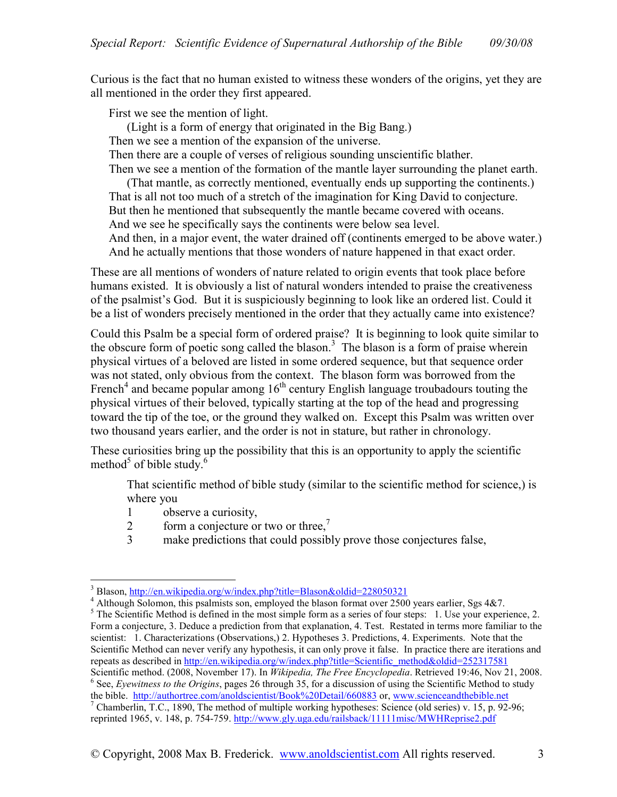Curious is the fact that no human existed to witness these wonders of the origins, yet they are all mentioned in the order they first appeared.

First we see the mention of light.

(Light is a form of energy that originated in the Big Bang.)

Then we see a mention of the expansion of the universe.

Then there are a couple of verses of religious sounding unscientific blather.

Then we see a mention of the formation of the mantle layer surrounding the planet earth.

(That mantle, as correctly mentioned, eventually ends up supporting the continents.) That is all not too much of a stretch of the imagination for King David to conjecture. But then he mentioned that subsequently the mantle became covered with oceans. And we see he specifically says the continents were below sea level.

And then, in a major event, the water drained off (continents emerged to be above water.) And he actually mentions that those wonders of nature happened in that exact order.

These are all mentions of wonders of nature related to origin events that took place before humans existed. It is obviously a list of natural wonders intended to praise the creativeness of the psalmist's God. But it is suspiciously beginning to look like an ordered list. Could it be a list of wonders precisely mentioned in the order that they actually came into existence?

Could this Psalm be a special form of ordered praise? It is beginning to look quite similar to the obscure form of poetic song called the blason.<sup>3</sup> The blason is a form of praise wherein physical virtues of a beloved are listed in some ordered sequence, but that sequence order was not stated, only obvious from the context. The blason form was borrowed from the French<sup>4</sup> and became popular among  $16<sup>th</sup>$  century English language troubadours touting the physical virtues of their beloved, typically starting at the top of the head and progressing toward the tip of the toe, or the ground they walked on. Except this Psalm was written over two thousand years earlier, and the order is not in stature, but rather in chronology.

These curiosities bring up the possibility that this is an opportunity to apply the scientific method<sup>5</sup> of bible study.<sup>6</sup>

That scientific method of bible study (similar to the scientific method for science,) is where you

- 1 observe a curiosity,
- 2 form a conjecture or two or three,<sup>7</sup>
- 3 make predictions that could possibly prove those conjectures false,

 $\overline{a}$ 3 Blason, http://en.wikipedia.org/w/index.php?title=Blason&oldid=228050321

<sup>&</sup>lt;sup>4</sup> Although Solomon, this psalmists son, employed the blason format over 2500 years earlier, Sgs 4&7.

 $<sup>5</sup>$  The Scientific Method is defined in the most simple form as a series of four steps: 1. Use your experience, 2.</sup> Form a conjecture, 3. Deduce a prediction from that explanation, 4. Test. Restated in terms more familiar to the scientist: 1. Characterizations (Observations,) 2. Hypotheses 3. Predictions, 4. Experiments. Note that the Scientific Method can never verify any hypothesis, it can only prove it false. In practice there are iterations and repeats as described in http://en.wikipedia.org/w/index.php?title=Scientific\_method&oldid=252317581 Scientific method. (2008, November 17). In *Wikipedia, The Free Encyclopedia*. Retrieved 19:46, Nov 21, 2008. <sup>6</sup> See, *Eyewitness to the Origins*, pages 26 through 35, for a discussion of using the Scientific Method to study

the bible. http://authortree.com/anoldscientist/Book%20Detail/660883 or, www.scienceandthebible.net

<sup>&</sup>lt;sup>7</sup> Chamberlin, T.C., 1890, The method of multiple working hypotheses: Science (old series) v. 15, p. 92-96; reprinted 1965, v. 148, p. 754-759. http://www.gly.uga.edu/railsback/11111misc/MWHReprise2.pdf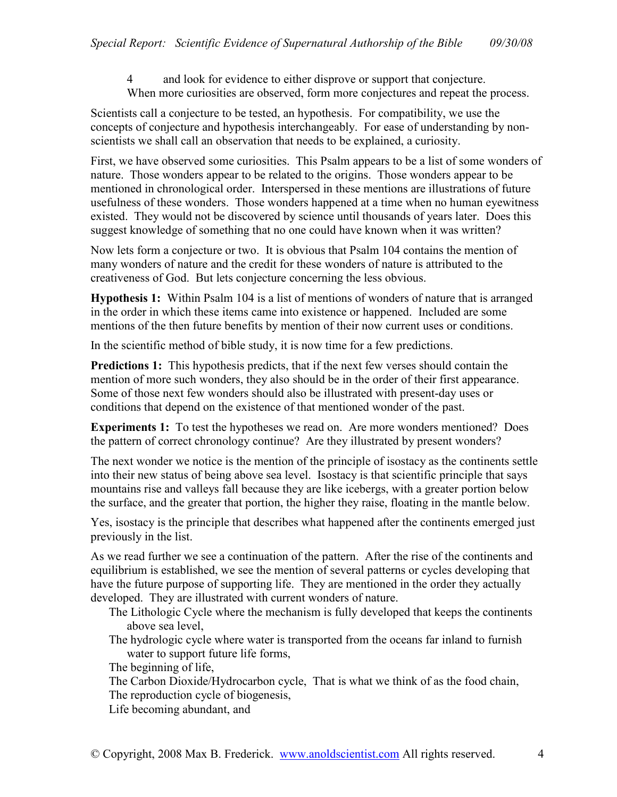4 and look for evidence to either disprove or support that conjecture. When more curiosities are observed, form more conjectures and repeat the process.

Scientists call a conjecture to be tested, an hypothesis. For compatibility, we use the concepts of conjecture and hypothesis interchangeably. For ease of understanding by nonscientists we shall call an observation that needs to be explained, a curiosity.

First, we have observed some curiosities. This Psalm appears to be a list of some wonders of nature. Those wonders appear to be related to the origins. Those wonders appear to be mentioned in chronological order. Interspersed in these mentions are illustrations of future usefulness of these wonders. Those wonders happened at a time when no human eyewitness existed. They would not be discovered by science until thousands of years later. Does this suggest knowledge of something that no one could have known when it was written?

Now lets form a conjecture or two. It is obvious that Psalm 104 contains the mention of many wonders of nature and the credit for these wonders of nature is attributed to the creativeness of God. But lets conjecture concerning the less obvious.

**Hypothesis 1:** Within Psalm 104 is a list of mentions of wonders of nature that is arranged in the order in which these items came into existence or happened. Included are some mentions of the then future benefits by mention of their now current uses or conditions.

In the scientific method of bible study, it is now time for a few predictions.

**Predictions 1:** This hypothesis predicts, that if the next few verses should contain the mention of more such wonders, they also should be in the order of their first appearance. Some of those next few wonders should also be illustrated with present-day uses or conditions that depend on the existence of that mentioned wonder of the past.

**Experiments 1:** To test the hypotheses we read on. Are more wonders mentioned? Does the pattern of correct chronology continue? Are they illustrated by present wonders?

The next wonder we notice is the mention of the principle of isostacy as the continents settle into their new status of being above sea level. Isostacy is that scientific principle that says mountains rise and valleys fall because they are like icebergs, with a greater portion below the surface, and the greater that portion, the higher they raise, floating in the mantle below.

Yes, isostacy is the principle that describes what happened after the continents emerged just previously in the list.

As we read further we see a continuation of the pattern. After the rise of the continents and equilibrium is established, we see the mention of several patterns or cycles developing that have the future purpose of supporting life. They are mentioned in the order they actually developed. They are illustrated with current wonders of nature.

- The Lithologic Cycle where the mechanism is fully developed that keeps the continents above sea level,
- The hydrologic cycle where water is transported from the oceans far inland to furnish water to support future life forms,

The beginning of life,

The Carbon Dioxide/Hydrocarbon cycle, That is what we think of as the food chain, The reproduction cycle of biogenesis,

Life becoming abundant, and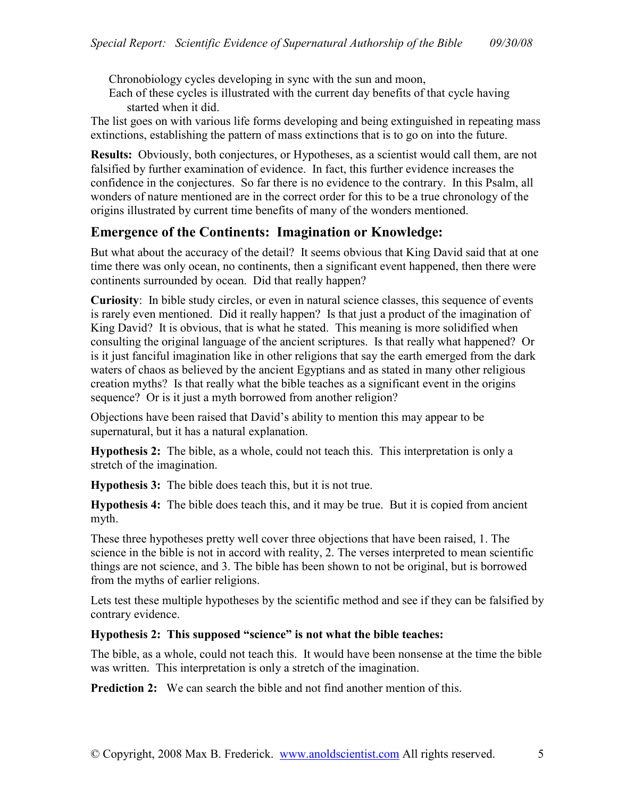Chronobiology cycles developing in sync with the sun and moon,

Each of these cycles is illustrated with the current day benefits of that cycle having started when it did.

The list goes on with various life forms developing and being extinguished in repeating mass extinctions, establishing the pattern of mass extinctions that is to go on into the future.

**Results:** Obviously, both conjectures, or Hypotheses, as a scientist would call them, are not falsified by further examination of evidence. In fact, this further evidence increases the confidence in the conjectures. So far there is no evidence to the contrary. In this Psalm, all wonders of nature mentioned are in the correct order for this to be a true chronology of the origins illustrated by current time benefits of many of the wonders mentioned.

# **Emergence of the Continents: Imagination or Knowledge:**

But what about the accuracy of the detail? It seems obvious that King David said that at one time there was only ocean, no continents, then a significant event happened, then there were continents surrounded by ocean. Did that really happen?

**Curiosity**: In bible study circles, or even in natural science classes, this sequence of events is rarely even mentioned. Did it really happen? Is that just a product of the imagination of King David? It is obvious, that is what he stated. This meaning is more solidified when consulting the original language of the ancient scriptures. Is that really what happened? Or is it just fanciful imagination like in other religions that say the earth emerged from the dark waters of chaos as believed by the ancient Egyptians and as stated in many other religious creation myths? Is that really what the bible teaches as a significant event in the origins sequence? Or is it just a myth borrowed from another religion?

Objections have been raised that David's ability to mention this may appear to be supernatural, but it has a natural explanation.

**Hypothesis 2:** The bible, as a whole, could not teach this. This interpretation is only a stretch of the imagination.

**Hypothesis 3:** The bible does teach this, but it is not true.

**Hypothesis 4:** The bible does teach this, and it may be true. But it is copied from ancient myth.

These three hypotheses pretty well cover three objections that have been raised, 1. The science in the bible is not in accord with reality, 2. The verses interpreted to mean scientific things are not science, and 3. The bible has been shown to not be original, but is borrowed from the myths of earlier religions.

Lets test these multiple hypotheses by the scientific method and see if they can be falsified by contrary evidence.

### **Hypothesis 2: This supposed "science" is not what the bible teaches:**

The bible, as a whole, could not teach this. It would have been nonsense at the time the bible was written. This interpretation is only a stretch of the imagination.

**Prediction 2:** We can search the bible and not find another mention of this.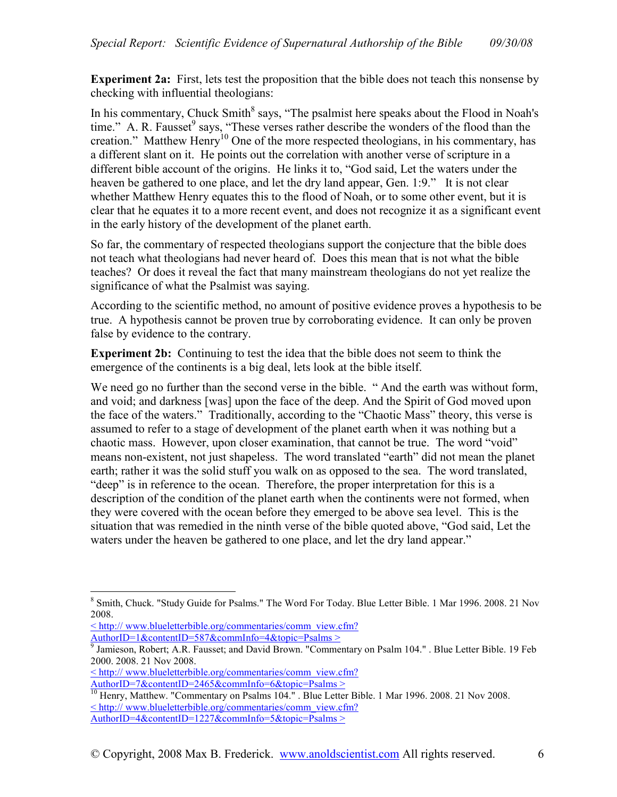**Experiment 2a:** First, lets test the proposition that the bible does not teach this nonsense by checking with influential theologians:

In his commentary, Chuck Smith<sup>8</sup> says, "The psalmist here speaks about the Flood in Noah's time." A. R. Fausset  $9$  says, "These verses rather describe the wonders of the flood than the creation." Matthew Henry<sup>10</sup> One of the more respected theologians, in his commentary, has a different slant on it. He points out the correlation with another verse of scripture in a different bible account of the origins. He links it to, "God said, Let the waters under the heaven be gathered to one place, and let the dry land appear, Gen. 1:9." It is not clear whether Matthew Henry equates this to the flood of Noah, or to some other event, but it is clear that he equates it to a more recent event, and does not recognize it as a significant event in the early history of the development of the planet earth.

So far, the commentary of respected theologians support the conjecture that the bible does not teach what theologians had never heard of. Does this mean that is not what the bible teaches? Or does it reveal the fact that many mainstream theologians do not yet realize the significance of what the Psalmist was saying.

According to the scientific method, no amount of positive evidence proves a hypothesis to be true. A hypothesis cannot be proven true by corroborating evidence. It can only be proven false by evidence to the contrary.

**Experiment 2b:** Continuing to test the idea that the bible does not seem to think the emergence of the continents is a big deal, lets look at the bible itself.

We need go no further than the second verse in the bible. "And the earth was without form, and void; and darkness [was] upon the face of the deep. And the Spirit of God moved upon the face of the waters." Traditionally, according to the "Chaotic Mass" theory, this verse is assumed to refer to a stage of development of the planet earth when it was nothing but a chaotic mass. However, upon closer examination, that cannot be true. The word "void" means non-existent, not just shapeless. The word translated "earth" did not mean the planet earth; rather it was the solid stuff you walk on as opposed to the sea. The word translated, "deep" is in reference to the ocean. Therefore, the proper interpretation for this is a description of the condition of the planet earth when the continents were not formed, when they were covered with the ocean before they emerged to be above sea level. This is the situation that was remedied in the ninth verse of the bible quoted above, "God said, Let the waters under the heaven be gathered to one place, and let the dry land appear."

<sup>10</sup> Henry, Matthew. "Commentary on Psalms 104." . Blue Letter Bible. 1 Mar 1996. 2008. 21 Nov 2008. < http:// www.blueletterbible.org/commentaries/comm\_view.cfm? AuthorID=4&contentID=1227&commInfo=5&topic=Psalms >

 $\overline{a}$ <sup>8</sup> Smith, Chuck. "Study Guide for Psalms." The Word For Today. Blue Letter Bible. 1 Mar 1996. 2008. 21 Nov 2008.

<sup>&</sup>lt; http:// www.blueletterbible.org/commentaries/comm\_view.cfm? AuthorID=1&contentID=587&commInfo=4&topic=Psalms >

<sup>9</sup> Jamieson, Robert; A.R. Fausset; and David Brown. "Commentary on Psalm 104." . Blue Letter Bible. 19 Feb 2000. 2008. 21 Nov 2008.

<sup>&</sup>lt; http:// www.blueletterbible.org/commentaries/comm\_view.cfm?

AuthorID=7&contentID=2465&commInfo=6&topic=Psalms >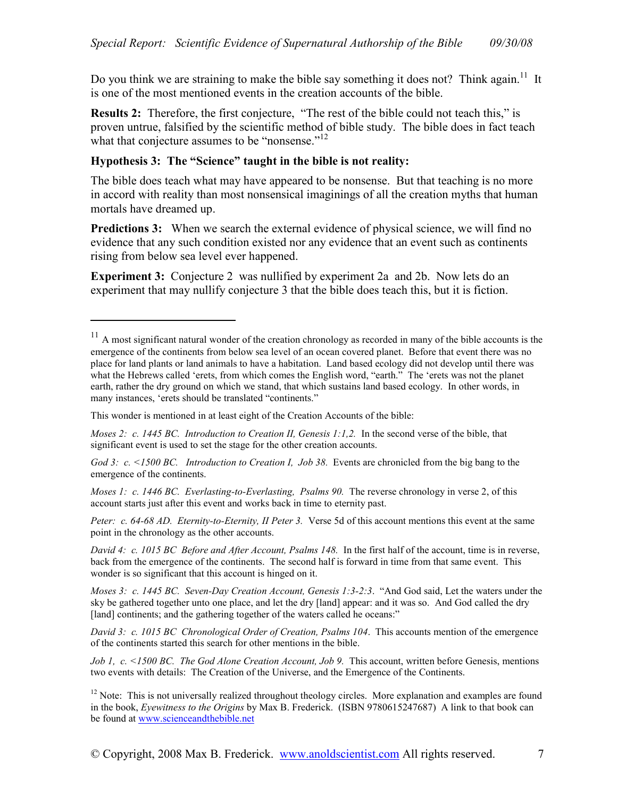Do you think we are straining to make the bible say something it does not? Think again.<sup>11</sup> It is one of the most mentioned events in the creation accounts of the bible.

**Results 2:** Therefore, the first conjecture, "The rest of the bible could not teach this," is proven untrue, falsified by the scientific method of bible study. The bible does in fact teach what that conjecture assumes to be "nonsense."<sup>12</sup>

#### **Hypothesis 3: The "Science" taught in the bible is not reality:**

The bible does teach what may have appeared to be nonsense. But that teaching is no more in accord with reality than most nonsensical imaginings of all the creation myths that human mortals have dreamed up.

**Predictions 3:** When we search the external evidence of physical science, we will find no evidence that any such condition existed nor any evidence that an event such as continents rising from below sea level ever happened.

**Experiment 3:** Conjecture 2 was nullified by experiment 2a and 2b. Now lets do an experiment that may nullify conjecture 3 that the bible does teach this, but it is fiction.

This wonder is mentioned in at least eight of the Creation Accounts of the bible:

-

*God 3: c.* <1500 BC. Introduction to Creation I, Job 38. Events are chronicled from the big bang to the emergence of the continents.

*Moses 1: c. 1446 BC. Everlasting-to-Everlasting, Psalms 90.* The reverse chronology in verse 2, of this account starts just after this event and works back in time to eternity past.

*Peter: c. 64-68 AD. Eternity-to-Eternity, II Peter 3.* Verse 5d of this account mentions this event at the same point in the chronology as the other accounts.

*David 4: c. 1015 BC Before and After Account, Psalms 148.* In the first half of the account, time is in reverse, back from the emergence of the continents. The second half is forward in time from that same event. This wonder is so significant that this account is hinged on it.

*Moses 3: c. 1445 BC. Seven-Day Creation Account, Genesis 1:3-2:3*. "And God said, Let the waters under the sky be gathered together unto one place, and let the dry [land] appear: and it was so. And God called the dry [land] continents; and the gathering together of the waters called he oceans:"

*David 3: c. 1015 BC Chronological Order of Creation, Psalms 104*. This accounts mention of the emergence of the continents started this search for other mentions in the bible.

*Job 1, c. <1500 BC. The God Alone Creation Account, Job 9.* This account, written before Genesis, mentions two events with details: The Creation of the Universe, and the Emergence of the Continents.

 $11$  A most significant natural wonder of the creation chronology as recorded in many of the bible accounts is the emergence of the continents from below sea level of an ocean covered planet. Before that event there was no place for land plants or land animals to have a habitation. Land based ecology did not develop until there was what the Hebrews called 'erets, from which comes the English word, "earth." The 'erets was not the planet earth, rather the dry ground on which we stand, that which sustains land based ecology. In other words, in many instances, 'erets should be translated "continents."

*Moses 2: c. 1445 BC. Introduction to Creation II, Genesis 1:1,2.* In the second verse of the bible, that significant event is used to set the stage for the other creation accounts.

 $12$  Note: This is not universally realized throughout theology circles. More explanation and examples are found in the book, *Eyewitness to the Origins* by Max B. Frederick. (ISBN 9780615247687) A link to that book can be found at www.scienceandthebible.net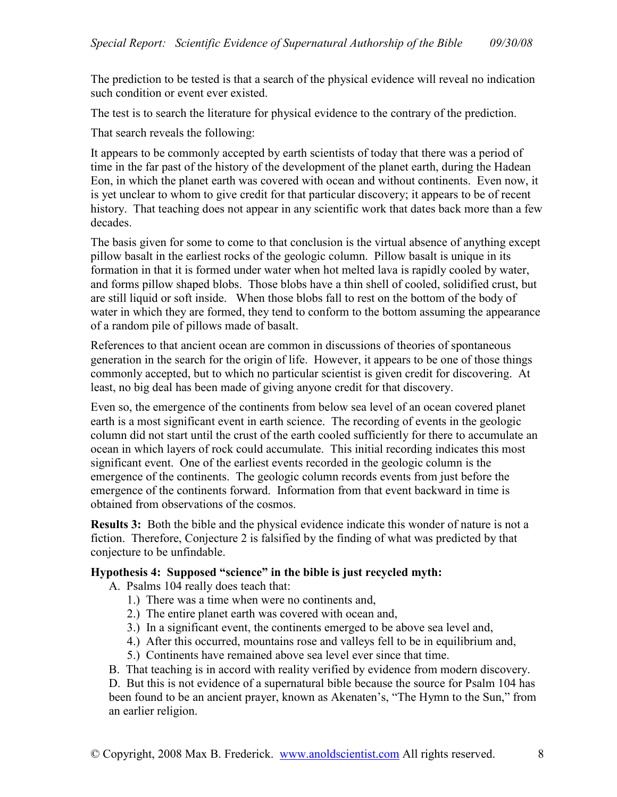The prediction to be tested is that a search of the physical evidence will reveal no indication such condition or event ever existed.

The test is to search the literature for physical evidence to the contrary of the prediction.

That search reveals the following:

It appears to be commonly accepted by earth scientists of today that there was a period of time in the far past of the history of the development of the planet earth, during the Hadean Eon, in which the planet earth was covered with ocean and without continents. Even now, it is yet unclear to whom to give credit for that particular discovery; it appears to be of recent history. That teaching does not appear in any scientific work that dates back more than a few decades.

The basis given for some to come to that conclusion is the virtual absence of anything except pillow basalt in the earliest rocks of the geologic column. Pillow basalt is unique in its formation in that it is formed under water when hot melted lava is rapidly cooled by water, and forms pillow shaped blobs. Those blobs have a thin shell of cooled, solidified crust, but are still liquid or soft inside. When those blobs fall to rest on the bottom of the body of water in which they are formed, they tend to conform to the bottom assuming the appearance of a random pile of pillows made of basalt.

References to that ancient ocean are common in discussions of theories of spontaneous generation in the search for the origin of life. However, it appears to be one of those things commonly accepted, but to which no particular scientist is given credit for discovering. At least, no big deal has been made of giving anyone credit for that discovery.

Even so, the emergence of the continents from below sea level of an ocean covered planet earth is a most significant event in earth science. The recording of events in the geologic column did not start until the crust of the earth cooled sufficiently for there to accumulate an ocean in which layers of rock could accumulate. This initial recording indicates this most significant event. One of the earliest events recorded in the geologic column is the emergence of the continents. The geologic column records events from just before the emergence of the continents forward. Information from that event backward in time is obtained from observations of the cosmos.

**Results 3:** Both the bible and the physical evidence indicate this wonder of nature is not a fiction. Therefore, Conjecture 2 is falsified by the finding of what was predicted by that conjecture to be unfindable.

### **Hypothesis 4: Supposed "science" in the bible is just recycled myth:**

- A. Psalms 104 really does teach that:
	- 1.) There was a time when were no continents and,
	- 2.) The entire planet earth was covered with ocean and,
	- 3.) In a significant event, the continents emerged to be above sea level and,
	- 4.) After this occurred, mountains rose and valleys fell to be in equilibrium and,
	- 5.) Continents have remained above sea level ever since that time.
- B. That teaching is in accord with reality verified by evidence from modern discovery.

D. But this is not evidence of a supernatural bible because the source for Psalm 104 has been found to be an ancient prayer, known as Akenaten's, "The Hymn to the Sun," from an earlier religion.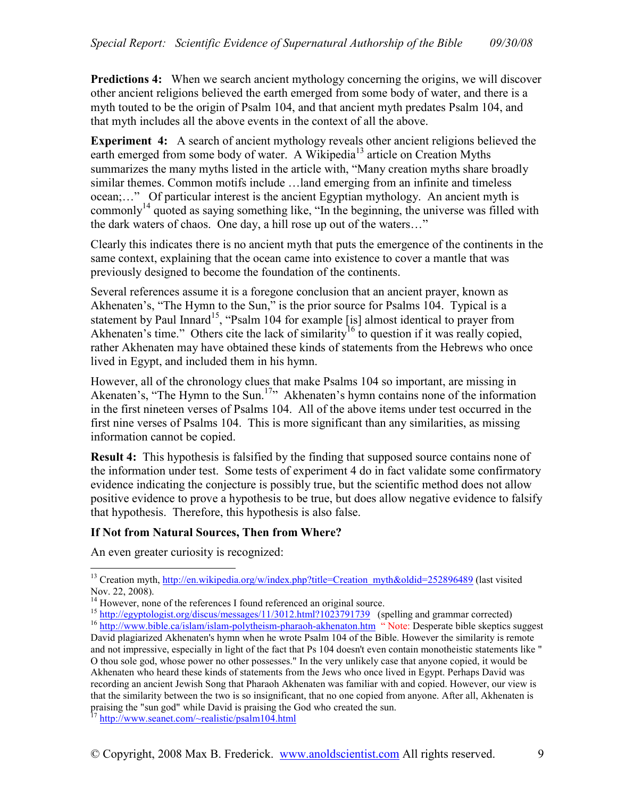**Predictions 4:** When we search ancient mythology concerning the origins, we will discover other ancient religions believed the earth emerged from some body of water, and there is a myth touted to be the origin of Psalm 104, and that ancient myth predates Psalm 104, and that myth includes all the above events in the context of all the above.

**Experiment 4:** A search of ancient mythology reveals other ancient religions believed the earth emerged from some body of water. A Wikipedia<sup>13</sup> article on Creation Myths summarizes the many myths listed in the article with, "Many creation myths share broadly similar themes. Common motifs include …land emerging from an infinite and timeless ocean;…" Of particular interest is the ancient Egyptian mythology. An ancient myth is commonly<sup>14</sup> quoted as saying something like, "In the beginning, the universe was filled with the dark waters of chaos. One day, a hill rose up out of the waters…"

Clearly this indicates there is no ancient myth that puts the emergence of the continents in the same context, explaining that the ocean came into existence to cover a mantle that was previously designed to become the foundation of the continents.

Several references assume it is a foregone conclusion that an ancient prayer, known as Akhenaten's, "The Hymn to the Sun," is the prior source for Psalms 104. Typical is a statement by Paul Innard<sup>15</sup>, "Psalm 104 for example [is] almost identical to prayer from Akhenaten's time." Others cite the lack of similarity<sup>16</sup> to question if it was really copied, rather Akhenaten may have obtained these kinds of statements from the Hebrews who once lived in Egypt, and included them in his hymn.

However, all of the chronology clues that make Psalms 104 so important, are missing in Akenaten's, "The Hymn to the Sun.<sup>17</sup>" Akhenaten's hymn contains none of the information in the first nineteen verses of Psalms 104. All of the above items under test occurred in the first nine verses of Psalms 104. This is more significant than any similarities, as missing information cannot be copied.

**Result 4:** This hypothesis is falsified by the finding that supposed source contains none of the information under test. Some tests of experiment 4 do in fact validate some confirmatory evidence indicating the conjecture is possibly true, but the scientific method does not allow positive evidence to prove a hypothesis to be true, but does allow negative evidence to falsify that hypothesis. Therefore, this hypothesis is also false.

### **If Not from Natural Sources, Then from Where?**

An even greater curiosity is recognized:

<sup>&</sup>lt;u>.</u> <sup>13</sup> Creation myth, http://en.wikipedia.org/w/index.php?title=Creation\_myth&oldid=252896489 (last visited Nov. 22, 2008).

<sup>&</sup>lt;sup>14</sup> However, none of the references I found referenced an original source.

<sup>&</sup>lt;sup>15</sup> http://egyptologist.org/discus/messages/11/3012.html?1023791739 (spelling and grammar corrected)

<sup>&</sup>lt;sup>16</sup> http://www.bible.ca/islam/islam-polytheism-pharaoh-akhenaton.htm " Note: Desperate bible skeptics suggest David plagiarized Akhenaten's hymn when he wrote Psalm 104 of the Bible. However the similarity is remote and not impressive, especially in light of the fact that Ps 104 doesn't even contain monotheistic statements like " O thou sole god, whose power no other possesses." In the very unlikely case that anyone copied, it would be Akhenaten who heard these kinds of statements from the Jews who once lived in Egypt. Perhaps David was recording an ancient Jewish Song that Pharaoh Akhenaten was familiar with and copied. However, our view is that the similarity between the two is so insignificant, that no one copied from anyone. After all, Akhenaten is praising the "sun god" while David is praising the God who created the sun.

<sup>&</sup>lt;sup>17</sup> http://www.seanet.com/~realistic/psalm104.html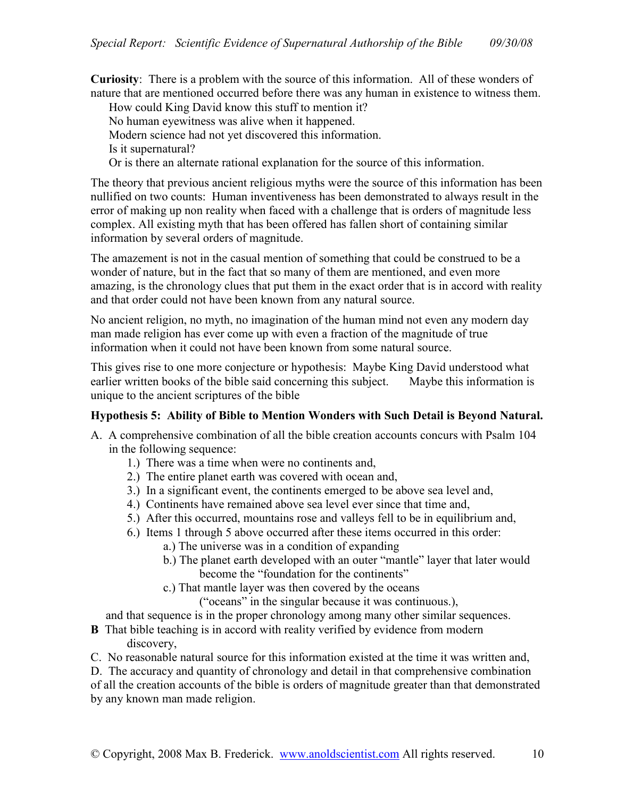**Curiosity**: There is a problem with the source of this information. All of these wonders of nature that are mentioned occurred before there was any human in existence to witness them.

How could King David know this stuff to mention it? No human eyewitness was alive when it happened. Modern science had not yet discovered this information. Is it supernatural?

Or is there an alternate rational explanation for the source of this information.

The theory that previous ancient religious myths were the source of this information has been nullified on two counts: Human inventiveness has been demonstrated to always result in the error of making up non reality when faced with a challenge that is orders of magnitude less complex. All existing myth that has been offered has fallen short of containing similar information by several orders of magnitude.

The amazement is not in the casual mention of something that could be construed to be a wonder of nature, but in the fact that so many of them are mentioned, and even more amazing, is the chronology clues that put them in the exact order that is in accord with reality and that order could not have been known from any natural source.

No ancient religion, no myth, no imagination of the human mind not even any modern day man made religion has ever come up with even a fraction of the magnitude of true information when it could not have been known from some natural source.

This gives rise to one more conjecture or hypothesis: Maybe King David understood what earlier written books of the bible said concerning this subject. Maybe this information is unique to the ancient scriptures of the bible

## **Hypothesis 5: Ability of Bible to Mention Wonders with Such Detail is Beyond Natural.**

- A. A comprehensive combination of all the bible creation accounts concurs with Psalm 104 in the following sequence:
	- 1.) There was a time when were no continents and,
	- 2.) The entire planet earth was covered with ocean and,
	- 3.) In a significant event, the continents emerged to be above sea level and,
	- 4.) Continents have remained above sea level ever since that time and,
	- 5.) After this occurred, mountains rose and valleys fell to be in equilibrium and,
	- 6.) Items 1 through 5 above occurred after these items occurred in this order:
		- a.) The universe was in a condition of expanding
		- b.) The planet earth developed with an outer "mantle" layer that later would become the "foundation for the continents"
		- c.) That mantle layer was then covered by the oceans

("oceans" in the singular because it was continuous.),

and that sequence is in the proper chronology among many other similar sequences.

- **B** That bible teaching is in accord with reality verified by evidence from modern discovery,
- C. No reasonable natural source for this information existed at the time it was written and,

D. The accuracy and quantity of chronology and detail in that comprehensive combination of all the creation accounts of the bible is orders of magnitude greater than that demonstrated by any known man made religion.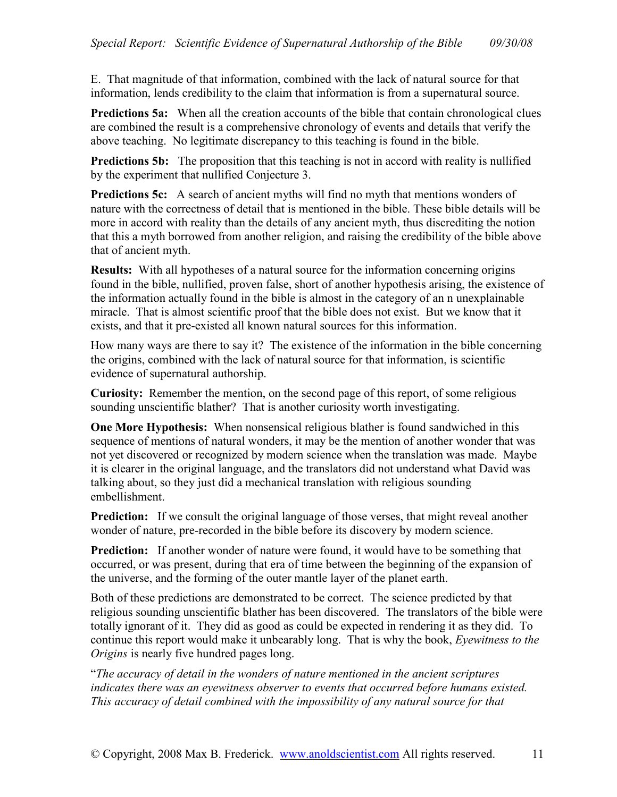E. That magnitude of that information, combined with the lack of natural source for that information, lends credibility to the claim that information is from a supernatural source.

**Predictions 5a:** When all the creation accounts of the bible that contain chronological clues are combined the result is a comprehensive chronology of events and details that verify the above teaching. No legitimate discrepancy to this teaching is found in the bible.

**Predictions 5b:** The proposition that this teaching is not in accord with reality is nullified by the experiment that nullified Conjecture 3.

**Predictions 5c:** A search of ancient myths will find no myth that mentions wonders of nature with the correctness of detail that is mentioned in the bible. These bible details will be more in accord with reality than the details of any ancient myth, thus discrediting the notion that this a myth borrowed from another religion, and raising the credibility of the bible above that of ancient myth.

**Results:** With all hypotheses of a natural source for the information concerning origins found in the bible, nullified, proven false, short of another hypothesis arising, the existence of the information actually found in the bible is almost in the category of an n unexplainable miracle. That is almost scientific proof that the bible does not exist. But we know that it exists, and that it pre-existed all known natural sources for this information.

How many ways are there to say it? The existence of the information in the bible concerning the origins, combined with the lack of natural source for that information, is scientific evidence of supernatural authorship.

**Curiosity:** Remember the mention, on the second page of this report, of some religious sounding unscientific blather? That is another curiosity worth investigating.

**One More Hypothesis:** When nonsensical religious blather is found sandwiched in this sequence of mentions of natural wonders, it may be the mention of another wonder that was not yet discovered or recognized by modern science when the translation was made. Maybe it is clearer in the original language, and the translators did not understand what David was talking about, so they just did a mechanical translation with religious sounding embellishment.

**Prediction:** If we consult the original language of those verses, that might reveal another wonder of nature, pre-recorded in the bible before its discovery by modern science.

**Prediction:** If another wonder of nature were found, it would have to be something that occurred, or was present, during that era of time between the beginning of the expansion of the universe, and the forming of the outer mantle layer of the planet earth.

Both of these predictions are demonstrated to be correct. The science predicted by that religious sounding unscientific blather has been discovered. The translators of the bible were totally ignorant of it. They did as good as could be expected in rendering it as they did. To continue this report would make it unbearably long. That is why the book, *Eyewitness to the Origins* is nearly five hundred pages long.

"*The accuracy of detail in the wonders of nature mentioned in the ancient scriptures indicates there was an eyewitness observer to events that occurred before humans existed. This accuracy of detail combined with the impossibility of any natural source for that*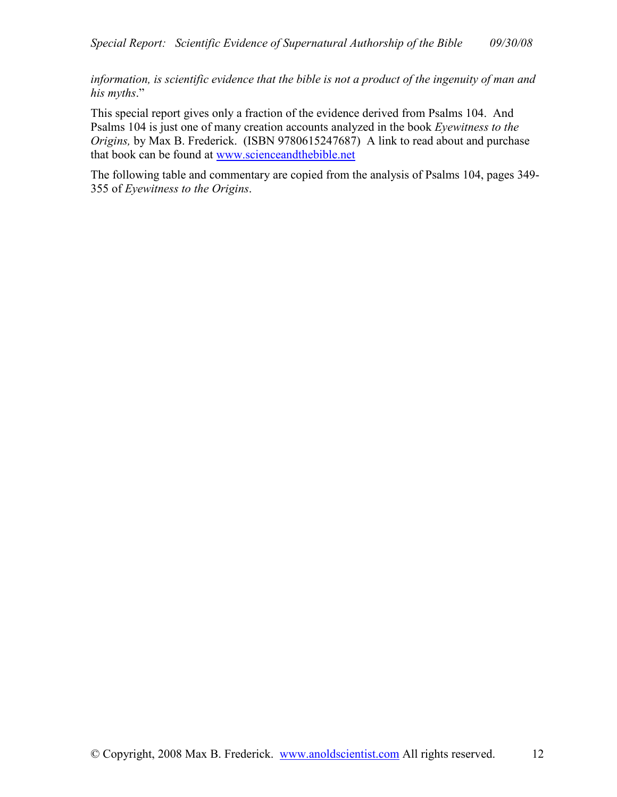*information, is scientific evidence that the bible is not a product of the ingenuity of man and his myths*."

This special report gives only a fraction of the evidence derived from Psalms 104. And Psalms 104 is just one of many creation accounts analyzed in the book *Eyewitness to the Origins,* by Max B. Frederick. (ISBN 9780615247687) A link to read about and purchase that book can be found at www.scienceandthebible.net

The following table and commentary are copied from the analysis of Psalms 104, pages 349- 355 of *Eyewitness to the Origins*.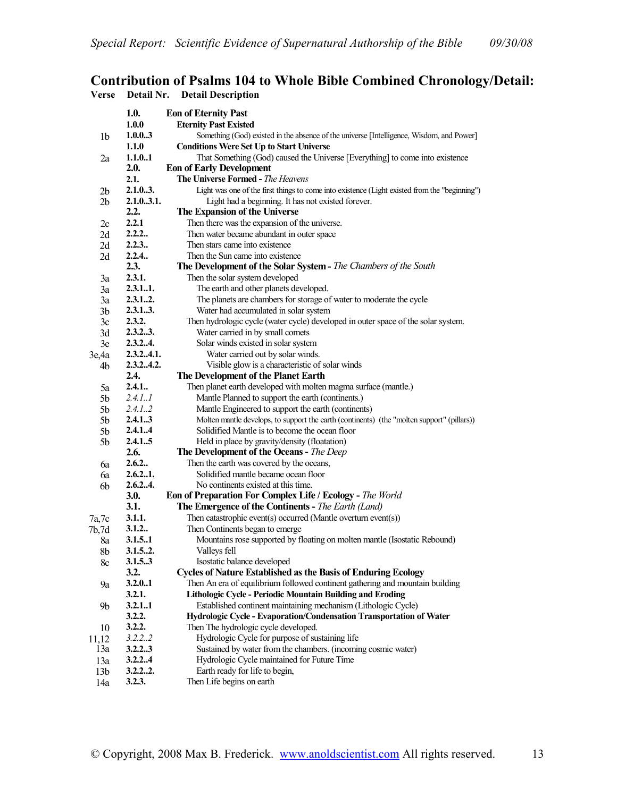## **Contribution of Psalms 104 to Whole Bible Combined Chronology/Detail: Verse Detail Nr. Detail Description**

|                 | 1.0.                                                              | <b>Eon of Eternity Past</b>                                                                   |  |  |  |  |
|-----------------|-------------------------------------------------------------------|-----------------------------------------------------------------------------------------------|--|--|--|--|
|                 | 1.0.0                                                             | <b>Eternity Past Existed</b>                                                                  |  |  |  |  |
| 1b              | 1.0.03                                                            | Something (God) existed in the absence of the universe [Intelligence, Wisdom, and Power]      |  |  |  |  |
|                 | 1.1.0                                                             | <b>Conditions Were Set Up to Start Universe</b>                                               |  |  |  |  |
| 2a              | 1.1.0.1                                                           | That Something (God) caused the Universe [Everything] to come into existence                  |  |  |  |  |
|                 | 2.0.                                                              | <b>Eon of Early Development</b>                                                               |  |  |  |  |
|                 | 2.1.                                                              | <b>The Universe Formed - The Heavens</b>                                                      |  |  |  |  |
| 2b              | 2.1.03.                                                           | Light was one of the first things to come into existence (Light existed from the "beginning") |  |  |  |  |
| 2 <sub>b</sub>  | 2.1.03.1.<br>Light had a beginning. It has not existed forever.   |                                                                                               |  |  |  |  |
|                 | 2.2.<br>The Expansion of the Universe                             |                                                                                               |  |  |  |  |
| $_{2c}$         | 2.2.1                                                             | Then there was the expansion of the universe.                                                 |  |  |  |  |
| 2d              | 2.2.2                                                             | Then water became abundant in outer space                                                     |  |  |  |  |
| 2d              | 2.2.3.                                                            | Then stars came into existence                                                                |  |  |  |  |
| 2d              | 2.2.4.                                                            | Then the Sun came into existence                                                              |  |  |  |  |
|                 | 2.3.                                                              | <b>The Development of the Solar System - The Chambers of the South</b>                        |  |  |  |  |
| 3a              | 2.3.1.                                                            | Then the solar system developed                                                               |  |  |  |  |
| 3a              | 2.3.11.                                                           | The earth and other planets developed.                                                        |  |  |  |  |
| 3a              | 2.3.12.                                                           | The planets are chambers for storage of water to moderate the cycle                           |  |  |  |  |
| 3b              | 2.3.13.                                                           | Water had accumulated in solar system                                                         |  |  |  |  |
| 3c              | 2.3.2.                                                            | Then hydrologic cycle (water cycle) developed in outer space of the solar system.             |  |  |  |  |
| 3d              | 2.3.23.                                                           | Water carried in by small comets                                                              |  |  |  |  |
| 3e              | 2.3.24.                                                           | Solar winds existed in solar system                                                           |  |  |  |  |
| 3e,4a           | 2.3.24.1.                                                         | Water carried out by solar winds.                                                             |  |  |  |  |
| 4b              | 2.3.24.2.<br>Visible glow is a characteristic of solar winds      |                                                                                               |  |  |  |  |
|                 | 2.4.<br>The Development of the Planet Earth                       |                                                                                               |  |  |  |  |
| 5a              | 2.4.1                                                             | Then planet earth developed with molten magma surface (mantle.)                               |  |  |  |  |
| 5b              | 2.4.1.1                                                           | Mantle Planned to support the earth (continents.)                                             |  |  |  |  |
| 5b              | 2.4.12                                                            | Mantle Engineered to support the earth (continents)                                           |  |  |  |  |
| 5b              | 2.4.13                                                            | Molten mantle develops, to support the earth (continents) (the "molten support" (pillars))    |  |  |  |  |
| 5b              | 2.4.14                                                            | Solidified Mantle is to become the ocean floor                                                |  |  |  |  |
| 5b              | 2.4.15                                                            | Held in place by gravity/density (floatation)                                                 |  |  |  |  |
|                 | 2.6.                                                              | The Development of the Oceans - The Deep                                                      |  |  |  |  |
| 6a              | 2.6.2                                                             | Then the earth was covered by the oceans,                                                     |  |  |  |  |
| 6a              | 2.6.21.                                                           | Solidified mantle became ocean floor                                                          |  |  |  |  |
| 6b              | 2.6.24.<br>No continents existed at this time.                    |                                                                                               |  |  |  |  |
|                 | Eon of Preparation For Complex Life / Ecology - The World<br>3.0. |                                                                                               |  |  |  |  |
|                 | 3.1.                                                              | <b>The Emergence of the Continents - The Earth (Land)</b>                                     |  |  |  |  |
| 7a,7c           | 3.1.1.                                                            | Then catastrophic event(s) occurred (Mantle overturn event(s))                                |  |  |  |  |
| 7b,7d           | 3.1.2                                                             | Then Continents began to emerge                                                               |  |  |  |  |
| 8a              | 3.1.51                                                            | Mountains rose supported by floating on molten mantle (Isostatic Rebound)                     |  |  |  |  |
| 8b              | 3.1.52.                                                           | Valleys fell                                                                                  |  |  |  |  |
| 8c              | 3.1.5.3                                                           | Isostatic balance developed                                                                   |  |  |  |  |
|                 | 3.2.                                                              | <b>Cycles of Nature Established as the Basis of Enduring Ecology</b>                          |  |  |  |  |
| 9а              | 3.2.0.1                                                           | Then An era of equilibrium followed continent gathering and mountain building                 |  |  |  |  |
|                 | 3.2.1.                                                            | Lithologic Cycle - Periodic Mountain Building and Eroding                                     |  |  |  |  |
| 9b              | 3.2.1.1                                                           | Established continent maintaining mechanism (Lithologic Cycle)                                |  |  |  |  |
|                 | 3.2.2.                                                            | Hydrologic Cycle - Evaporation/Condensation Transportation of Water                           |  |  |  |  |
| 10              | 3.2.2.                                                            | Then The hydrologic cycle developed.                                                          |  |  |  |  |
| 11,12           | 3.2.2.2                                                           | Hydrologic Cycle for purpose of sustaining life                                               |  |  |  |  |
| 13a             | 3.2.23                                                            | Sustained by water from the chambers. (incoming cosmic water)                                 |  |  |  |  |
| 13a             | 3.2.2.4                                                           | Hydrologic Cycle maintained for Future Time                                                   |  |  |  |  |
| 13 <sub>b</sub> | 3.2.22.                                                           | Earth ready for life to begin,                                                                |  |  |  |  |
| 14a             | 3.2.3.                                                            | Then Life begins on earth                                                                     |  |  |  |  |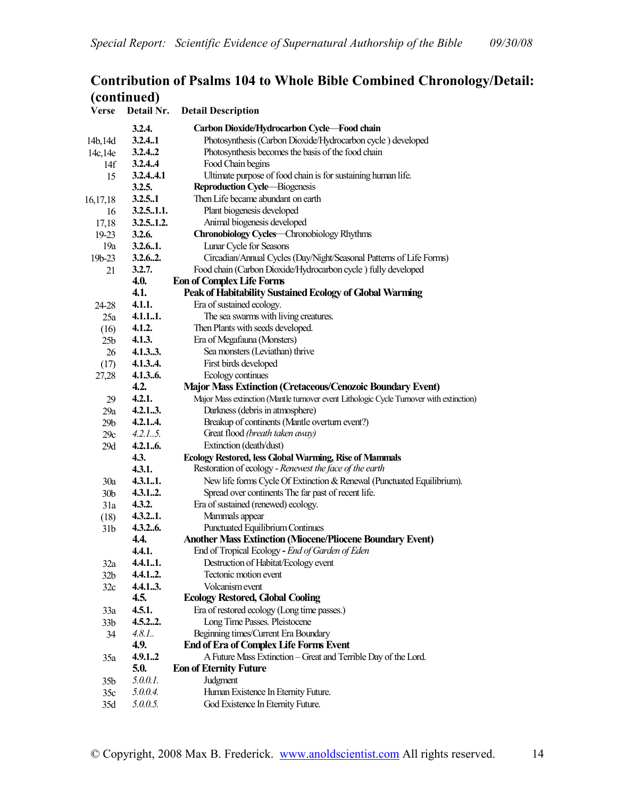# **Contribution of Psalms 104 to Whole Bible Combined Chronology/Detail: (continued)**

| <b>Verse</b>    | Detail Nr.                                                                | <b>Detail Description</b>                                                                       |  |
|-----------------|---------------------------------------------------------------------------|-------------------------------------------------------------------------------------------------|--|
|                 | 3.2.4.                                                                    | Carbon Dioxide/Hydrocarbon Cycle-Food chain                                                     |  |
| 14b, 14d        | 3.2.4.1                                                                   | Photosynthesis (Carbon Dioxide/Hydrocarbon cycle) developed                                     |  |
| 14c, 14e        | 3.2.4.2                                                                   | Photosynthesis becomes the basis of the food chain                                              |  |
| 14f             | 3.2.44                                                                    | Food Chain begins                                                                               |  |
| 15              | 3.2.44.1                                                                  | Ultimate purpose of food chain is for sustaining human life.                                    |  |
|                 | Reproduction Cycle-Biogenesis<br>3.2.5.                                   |                                                                                                 |  |
| 16,17,18        | 3.2.5.1                                                                   | Then Life became abundant on earth                                                              |  |
| 16              | 3.2.51.1.                                                                 | Plant biogenesis developed                                                                      |  |
| 17,18           | 3.2.51.2.                                                                 | Animal biogenesis developed                                                                     |  |
| $19-23$         | 3.2.6.                                                                    | Chronobiology Cycles-Chronobiology Rhythms                                                      |  |
| 19a             | 3.2.6.1.                                                                  | Lunar Cycle for Seasons                                                                         |  |
| $19b - 23$      | 3.2.6.2.                                                                  | Circadian/Annual Cycles (Day/Night/Seasonal Patterns of Life Forms)                             |  |
| 21              | 3.2.7.                                                                    | Food chain (Carbon Dioxide/Hydrocarbon cycle) fully developed                                   |  |
|                 | 4.0.<br><b>Eon of Complex Life Forms</b>                                  |                                                                                                 |  |
|                 | 4.1.                                                                      | Peak of Habitability Sustained Ecology of Global Warming                                        |  |
| 24-28           | 4.1.1.                                                                    | Era of sustained ecology.                                                                       |  |
| 25a             | 4.1.11.                                                                   | The sea swarms with living creatures.                                                           |  |
| (16)            | 4.1.2.                                                                    | Then Plants with seeds developed.                                                               |  |
| 25 <sub>b</sub> | 4.1.3.                                                                    | Era of Megafauna (Monsters)                                                                     |  |
| 26              | 4.1.33.                                                                   | Sea monsters (Leviathan) thrive                                                                 |  |
| (17)            | 4.1.34.                                                                   | First birds developed                                                                           |  |
| 27,28           | 4.1.36.                                                                   | Ecology continues                                                                               |  |
|                 | 4.2.<br><b>Major Mass Extinction (Cretaceous/Cenozoic Boundary Event)</b> |                                                                                                 |  |
| 29              | 4.2.1.                                                                    | Major Mass extinction (Mantle turnover event Lithologic Cycle Turnover with extinction)         |  |
| 29a             | 4.2.13.                                                                   | Darkness (debris in atmosphere)                                                                 |  |
| 29 <sub>b</sub> | 4.2.14.                                                                   | Breakup of continents (Mantle overturn event?)                                                  |  |
| 29c             | 4.2.15.                                                                   | Great flood (breath taken away)                                                                 |  |
| 29d             | 4.2.16.                                                                   | Extinction (death/dust)                                                                         |  |
|                 | 4.3.                                                                      | Ecology Restored, less Global Warming, Rise of Mammals                                          |  |
|                 | 4.3.1.                                                                    | Restoration of ecology - Renewest the face of the earth                                         |  |
| 30a             | 4.3.11.                                                                   | New life forms Cycle Of Extinction & Renewal (Punctuated Equilibrium).                          |  |
| 30 <sub>b</sub> | 4.3.12.                                                                   | Spread over continents The far past of recent life.                                             |  |
| 31a             | 4.3.2.                                                                    | Era of sustained (renewed) ecology.                                                             |  |
| (18)            | 4.3.21.                                                                   | Mammals appear                                                                                  |  |
| 31 <sub>b</sub> | 4.3.26.                                                                   | <b>Punctuated Equilibrium Continues</b>                                                         |  |
|                 | 4.4.                                                                      | <b>Another Mass Extinction (Miocene/Pliocene Boundary Event)</b>                                |  |
|                 | 4.4.1.                                                                    | End of Tropical Ecology - End of Garden of Eden                                                 |  |
| 32a             | 4.4.11.                                                                   | Destruction of Habitat/Ecology event                                                            |  |
| 32b             | 4.4.12.                                                                   | Tectonic motion event                                                                           |  |
| 32c             | 4.4.13.                                                                   | Volcanism event                                                                                 |  |
|                 | 4.5.                                                                      | <b>Ecology Restored, Global Cooling</b>                                                         |  |
| 33a             | 4.5.1.                                                                    | Era of restored ecology (Long time passes.)                                                     |  |
| 33 <sub>b</sub> | 4.5.22.<br>4.8.1.                                                         | Long Time Passes. Pleistocene<br>Beginning times/Current Era Boundary                           |  |
| 34              |                                                                           |                                                                                                 |  |
|                 | 4.9.                                                                      | <b>End of Era of Complex Life Forms Event</b>                                                   |  |
| 35a             | 4.9.12<br>5.0.                                                            | A Future Mass Extinction - Great and Terrible Day of the Lord.<br><b>Eon of Eternity Future</b> |  |
|                 | 5.0.0.1.                                                                  | Judgment                                                                                        |  |
| 35 <sub>b</sub> | 5.0.04.                                                                   | Human Existence In Eternity Future.                                                             |  |
| 35c             | 5.0.0.5.                                                                  | God Existence In Eternity Future.                                                               |  |
| 35d             |                                                                           |                                                                                                 |  |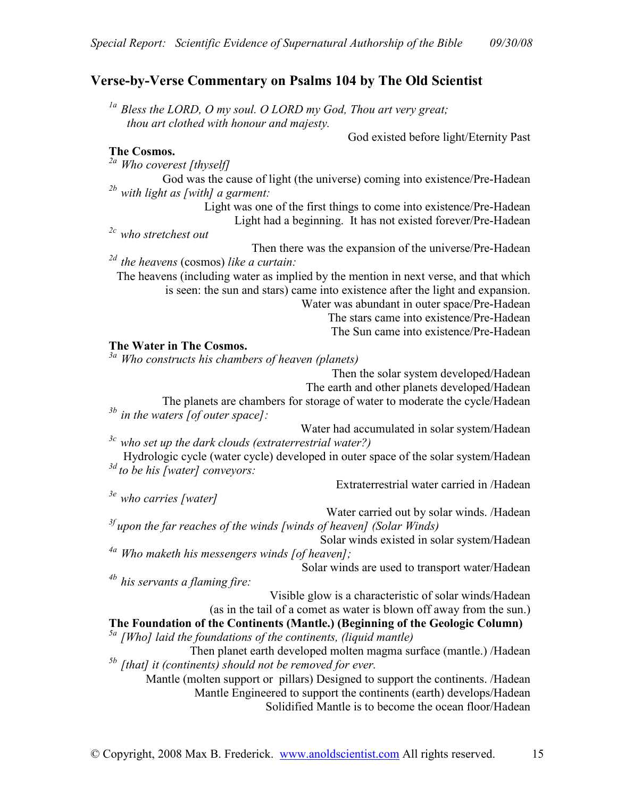# **Verse-by-Verse Commentary on Psalms 104 by The Old Scientist**

*1a Bless the LORD, O my soul. O LORD my God, Thou art very great; thou art clothed with honour and majesty.* 

God existed before light/Eternity Past

### **The Cosmos.**

*2a Who coverest [thyself]* 

God was the cause of light (the universe) coming into existence/Pre-Hadean *2b with light as [with] a garment:* 

Light was one of the first things to come into existence/Pre-Hadean Light had a beginning. It has not existed forever/Pre-Hadean

*2c who stretchest out* 

Then there was the expansion of the universe/Pre-Hadean *2d the heavens* (cosmos) *like a curtain:* 

The heavens (including water as implied by the mention in next verse, and that which is seen: the sun and stars) came into existence after the light and expansion. Water was abundant in outer space/Pre-Hadean The stars came into existence/Pre-Hadean The Sun came into existence/Pre-Hadean

#### **The Water in The Cosmos.**

*3a Who constructs his chambers of heaven (planets)* 

Then the solar system developed/Hadean

The earth and other planets developed/Hadean

The planets are chambers for storage of water to moderate the cycle/Hadean *3b in the waters [of outer space]:* 

Water had accumulated in solar system/Hadean *3c who set up the dark clouds (extraterrestrial water?)* 

Hydrologic cycle (water cycle) developed in outer space of the solar system/Hadean *3d to be his [water] conveyors:* 

Extraterrestrial water carried in /Hadean

Water carried out by solar winds. /Hadean *3f upon the far reaches of the winds [winds of heaven] (Solar Winds)* 

Solar winds existed in solar system/Hadean *4a Who maketh his messengers winds [of heaven];* 

Solar winds are used to transport water/Hadean

*4b his servants a flaming fire:* 

*3e who carries [water]* 

Visible glow is a characteristic of solar winds/Hadean (as in the tail of a comet as water is blown off away from the sun.)

**The Foundation of the Continents (Mantle.) (Beginning of the Geologic Column)**  *5a [Who] laid the foundations of the continents, (liquid mantle)* 

Then planet earth developed molten magma surface (mantle.) /Hadean *5b [that] it (continents) should not be removed for ever.* 

Mantle (molten support or pillars) Designed to support the continents. /Hadean Mantle Engineered to support the continents (earth) develops/Hadean Solidified Mantle is to become the ocean floor/Hadean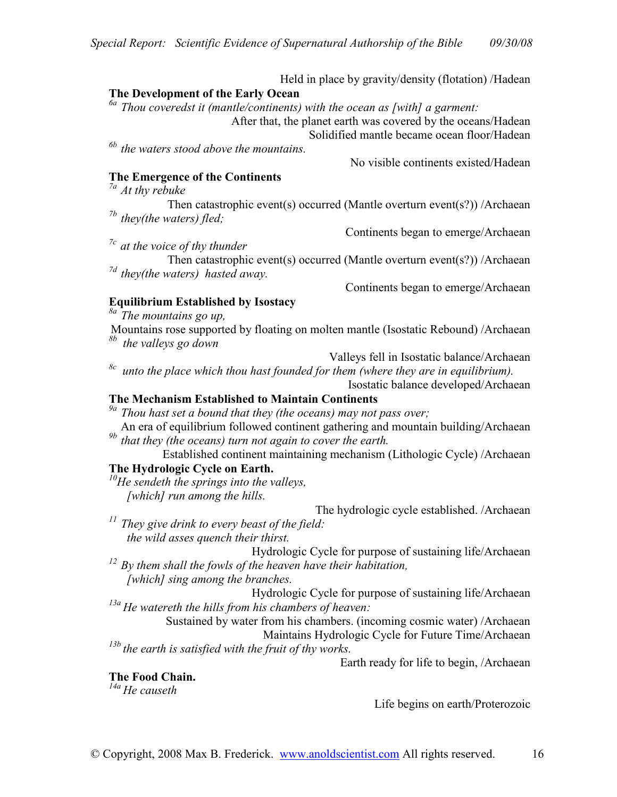Held in place by gravity/density (flotation) /Hadean

#### **The Development of the Early Ocean**

*6a Thou coveredst it (mantle/continents) with the ocean as [with] a garment:* 

After that, the planet earth was covered by the oceans/Hadean

Solidified mantle became ocean floor/Hadean

*6b the waters stood above the mountains.* 

#### **The Emergence of the Continents**

*7a At thy rebuke* 

Then catastrophic event(s) occurred (Mantle overturn event(s?)) /Archaean *7b they(the waters) fled;* 

Continents began to emerge/Archaean

No visible continents existed/Hadean

Then catastrophic event(s) occurred (Mantle overturn event(s?)) /Archaean *7d they(the waters) hasted away.* 

Continents began to emerge/Archaean

## **Equilibrium Established by Isostacy**

*8a The mountains go up,* 

*7c at the voice of thy thunder* 

Mountains rose supported by floating on molten mantle (Isostatic Rebound) /Archaean *8b the valleys go down* 

Valleys fell in Isostatic balance/Archaean

*8c unto the place which thou hast founded for them (where they are in equilibrium).*  Isostatic balance developed/Archaean

#### **The Mechanism Established to Maintain Continents**

*9a Thou hast set a bound that they (the oceans) may not pass over;* 

An era of equilibrium followed continent gathering and mountain building/Archaean *9b that they (the oceans) turn not again to cover the earth.* 

Established continent maintaining mechanism (Lithologic Cycle) /Archaean

## **The Hydrologic Cycle on Earth.**

*<sup>10</sup>He sendeth the springs into the valleys, [which] run among the hills.* 

The hydrologic cycle established. /Archaean *<sup>11</sup>They give drink to every beast of the field: the wild asses quench their thirst.* 

Hydrologic Cycle for purpose of sustaining life/Archaean

*<sup>12</sup>By them shall the fowls of the heaven have their habitation, [which] sing among the branches.* 

Hydrologic Cycle for purpose of sustaining life/Archaean *13a He watereth the hills from his chambers of heaven:* 

Sustained by water from his chambers. (incoming cosmic water) /Archaean Maintains Hydrologic Cycle for Future Time/Archaean *13b the earth is satisfied with the fruit of thy works.* 

Earth ready for life to begin, /Archaean

**The Food Chain.** 

*14a He causeth* 

Life begins on earth/Proterozoic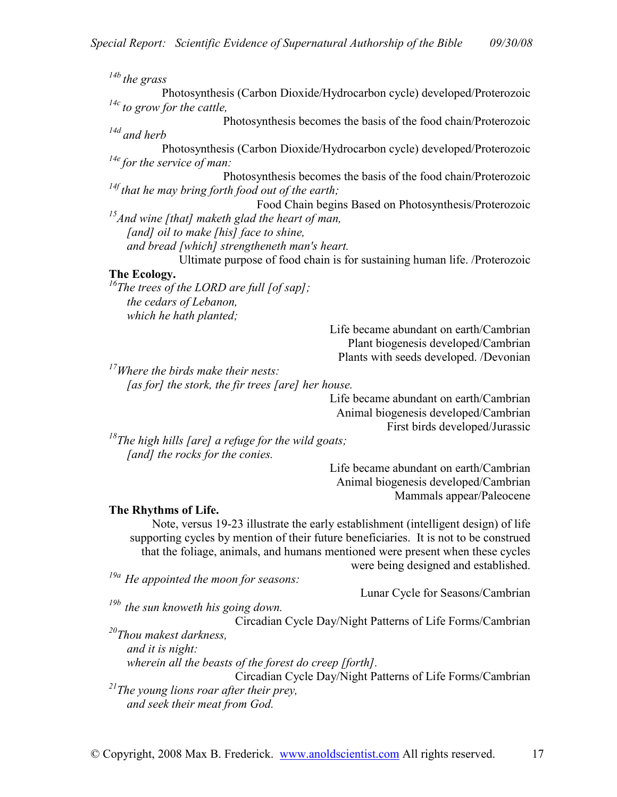Photosynthesis (Carbon Dioxide/Hydrocarbon cycle) developed/Proterozoic *14c to grow for the cattle,*  Photosynthesis becomes the basis of the food chain/Proterozoic *14d and herb*  Photosynthesis (Carbon Dioxide/Hydrocarbon cycle) developed/Proterozoic *14e for the service of man:*  Photosynthesis becomes the basis of the food chain/Proterozoic *14f that he may bring forth food out of the earth;*  Food Chain begins Based on Photosynthesis/Proterozoic *<sup>15</sup>And wine [that] maketh glad the heart of man, [and] oil to make [his] face to shine, and bread [which] strengtheneth man's heart.*  Ultimate purpose of food chain is for sustaining human life. /Proterozoic **The Ecology.**  *<sup>16</sup>The trees of the LORD are full [of sap];* 

*the cedars of Lebanon, which he hath planted;* 

*14b the grass* 

Life became abundant on earth/Cambrian Plant biogenesis developed/Cambrian Plants with seeds developed. /Devonian

*<sup>17</sup>Where the birds make their nests: [as for] the stork, the fir trees [are] her house.* 

Life became abundant on earth/Cambrian Animal biogenesis developed/Cambrian First birds developed/Jurassic

*<sup>18</sup>The high hills [are] a refuge for the wild goats; [and] the rocks for the conies.* 

> Life became abundant on earth/Cambrian Animal biogenesis developed/Cambrian Mammals appear/Paleocene

### **The Rhythms of Life.**

Note, versus 19-23 illustrate the early establishment (intelligent design) of life supporting cycles by mention of their future beneficiaries. It is not to be construed that the foliage, animals, and humans mentioned were present when these cycles were being designed and established.

*19a He appointed the moon for seasons:* 

Lunar Cycle for Seasons/Cambrian

*19b the sun knoweth his going down.* 

Circadian Cycle Day/Night Patterns of Life Forms/Cambrian

*<sup>20</sup>Thou makest darkness, and it is night:* 

*wherein all the beasts of the forest do creep [forth].* 

Circadian Cycle Day/Night Patterns of Life Forms/Cambrian *<sup>21</sup>The young lions roar after their prey, and seek their meat from God.*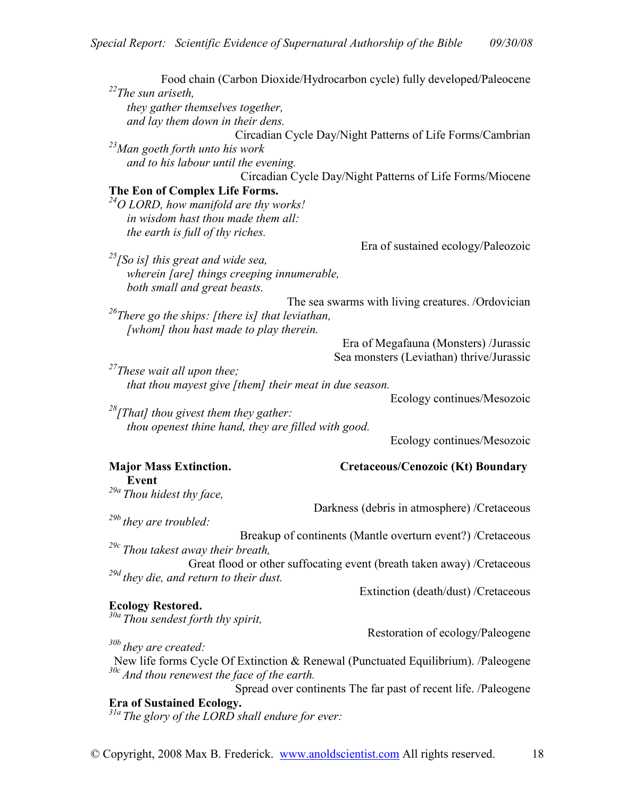| $12$ <sup>22</sup> The sun ariseth,<br>they gather themselves together,                         | Food chain (Carbon Dioxide/Hydrocarbon cycle) fully developed/Paleocene |
|-------------------------------------------------------------------------------------------------|-------------------------------------------------------------------------|
| and lay them down in their dens.                                                                |                                                                         |
|                                                                                                 | Circadian Cycle Day/Night Patterns of Life Forms/Cambrian               |
| <sup>23</sup> Man goeth forth unto his work                                                     |                                                                         |
| and to his labour until the evening.                                                            |                                                                         |
|                                                                                                 | Circadian Cycle Day/Night Patterns of Life Forms/Miocene                |
| The Eon of Complex Life Forms.                                                                  |                                                                         |
| $^{24}O$ LORD, how manifold are thy works!                                                      |                                                                         |
| in wisdom hast thou made them all:                                                              |                                                                         |
| the earth is full of thy riches.                                                                |                                                                         |
|                                                                                                 | Era of sustained ecology/Paleozoic                                      |
| $^{25}$ [So is] this great and wide sea,                                                        |                                                                         |
| wherein [are] things creeping innumerable,                                                      |                                                                         |
| both small and great beasts.                                                                    |                                                                         |
|                                                                                                 | The sea swarms with living creatures. /Ordovician                       |
| <sup>26</sup> There go the ships: [there is] that leviathan,                                    |                                                                         |
| [whom] thou hast made to play therein.                                                          |                                                                         |
|                                                                                                 | Era of Megafauna (Monsters) /Jurassic                                   |
|                                                                                                 | Sea monsters (Leviathan) thrive/Jurassic                                |
| <sup>27</sup> These wait all upon thee;                                                         |                                                                         |
| that thou mayest give [them] their meat in due season.                                          |                                                                         |
|                                                                                                 |                                                                         |
|                                                                                                 | Ecology continues/Mesozoic                                              |
| $28$ [That] thou givest them they gather:                                                       |                                                                         |
| thou openest thine hand, they are filled with good.                                             |                                                                         |
|                                                                                                 | Ecology continues/Mesozoic                                              |
|                                                                                                 |                                                                         |
| <b>Major Mass Extinction.</b>                                                                   | <b>Cretaceous/Cenozoic (Kt) Boundary</b>                                |
| <b>Event</b>                                                                                    |                                                                         |
| <sup>29a</sup> Thou hidest thy face,                                                            |                                                                         |
|                                                                                                 | Darkness (debris in atmosphere) /Cretaceous                             |
| $^{29b}$ they are troubled:                                                                     |                                                                         |
|                                                                                                 | Breakup of continents (Mantle overturn event?) /Cretaceous              |
| $^{29c}$ Thou takest away their breath,                                                         |                                                                         |
|                                                                                                 | Great flood or other suffocating event (breath taken away) /Cretaceous  |
| <sup>29d</sup> they die, and return to their dust.                                              | Extinction (death/dust) /Cretaceous                                     |
|                                                                                                 |                                                                         |
| <b>Ecology Restored.</b>                                                                        |                                                                         |
| <sup>30a</sup> Thou sendest forth thy spirit,                                                   | Restoration of ecology/Paleogene                                        |
| $30b$ they are created:                                                                         |                                                                         |
| New life forms Cycle Of Extinction & Renewal (Punctuated Equilibrium). /Paleogene               |                                                                         |
| $30c$ And thou renewest the face of the earth.                                                  |                                                                         |
|                                                                                                 | Spread over continents The far past of recent life. /Paleogene          |
| <b>Era of Sustained Ecology.</b><br><sup>31a</sup> The glory of the LORD shall endure for ever: |                                                                         |